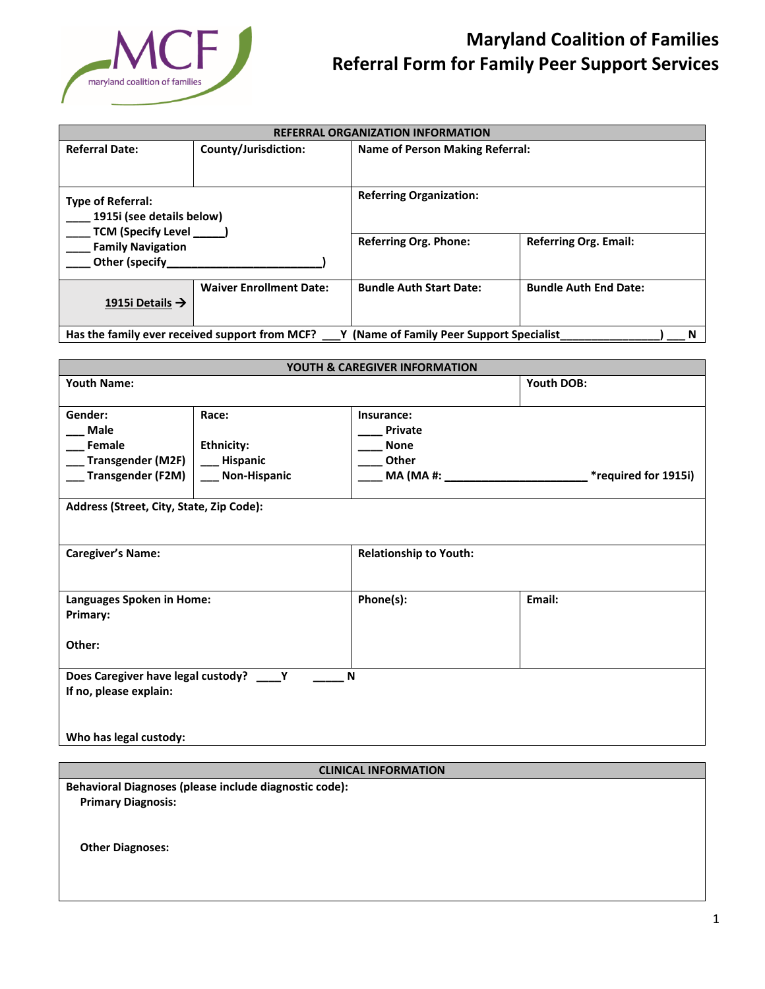

## **Maryland Coalition of Families Referral Form for Family Peer Support Services**

| <b>REFERRAL ORGANIZATION INFORMATION</b>                                                                                  |                                |                                                                                                |                              |  |
|---------------------------------------------------------------------------------------------------------------------------|--------------------------------|------------------------------------------------------------------------------------------------|------------------------------|--|
| <b>Referral Date:</b>                                                                                                     | County/Jurisdiction:           | <b>Name of Person Making Referral:</b>                                                         |                              |  |
| <b>Type of Referral:</b><br>1915i (see details below)<br>TCM (Specify Level<br><b>Family Navigation</b><br>Other (specify |                                | <b>Referring Organization:</b><br><b>Referring Org. Phone:</b><br><b>Referring Org. Email:</b> |                              |  |
| 1915i Details $\rightarrow$                                                                                               | <b>Waiver Enrollment Date:</b> | <b>Bundle Auth Start Date:</b>                                                                 | <b>Bundle Auth End Date:</b> |  |
| Has the family ever received support from MCF?<br>Y (Name of Family Peer Support Specialist<br>N                          |                                |                                                                                                |                              |  |

| YOUTH & CAREGIVER INFORMATION                                            |                   |                               |                             |  |  |
|--------------------------------------------------------------------------|-------------------|-------------------------------|-----------------------------|--|--|
| <b>Youth Name:</b>                                                       |                   |                               | Youth DOB:                  |  |  |
| Gender:                                                                  | Race:             | Insurance:                    |                             |  |  |
| Male                                                                     |                   | <b>Private</b>                |                             |  |  |
| Female                                                                   | <b>Ethnicity:</b> | <b>None</b>                   |                             |  |  |
| __ Transgender (M2F)                                                     | __ Hispanic       | Other                         |                             |  |  |
| __ Transgender (F2M)                                                     | Non-Hispanic      |                               | <i>*required for 1915i)</i> |  |  |
|                                                                          |                   |                               |                             |  |  |
| Address (Street, City, State, Zip Code):                                 |                   |                               |                             |  |  |
|                                                                          |                   |                               |                             |  |  |
|                                                                          |                   |                               |                             |  |  |
| <b>Caregiver's Name:</b>                                                 |                   | <b>Relationship to Youth:</b> |                             |  |  |
|                                                                          |                   |                               |                             |  |  |
|                                                                          |                   |                               |                             |  |  |
| Languages Spoken in Home:                                                |                   | Phone(s):                     | Email:                      |  |  |
| Primary:                                                                 |                   |                               |                             |  |  |
|                                                                          |                   |                               |                             |  |  |
| Other:                                                                   |                   |                               |                             |  |  |
|                                                                          |                   |                               |                             |  |  |
| Does Caregiver have legal custody? ____ Y<br>N<br>If no, please explain: |                   |                               |                             |  |  |
|                                                                          |                   |                               |                             |  |  |
|                                                                          |                   |                               |                             |  |  |
| Who has legal custody:                                                   |                   |                               |                             |  |  |
|                                                                          |                   |                               |                             |  |  |

## **CLINICAL INFORMATION**

**Behavioral Diagnoses (please include diagnostic code): Primary Diagnosis:**

 **Other Diagnoses:**